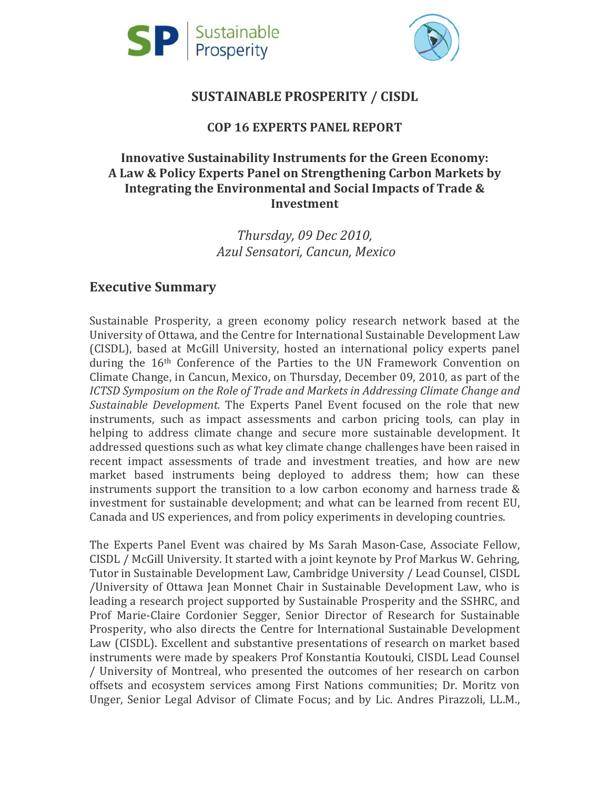



### **SUSTAINABLE PROSPERITY / CISDL**

### **COP 16 EXPERTS PANEL REPORT**

### **Innovative Sustainability Instruments for the Green Economy: A Law & Policy Experts Panel on Strengthening Carbon Markets by Integrating the Environmental and Social Impacts of Trade & Investment**

*Thursday, 09 Dec 2010, Azul Sensatori, Cancun, Mexico*

### **Executive Summary**

Sustainable Prosperity, a green economy policy research network based at the University of Ottawa, and the Centre for International Sustainable Development Law (CISDL), based at McGill University, hosted an international policy experts panel during the 16th Conference of the Parties to the UN Framework Convention on Climate Change, in Cancun, Mexico, on Thursday, December 09, 2010, as part of the *ICTSD Symposium on the Role of Trade and Markets in Addressing Climate Change and Sustainable Development.* The Experts Panel Event focused on the role that new instruments, such as impact assessments and carbon pricing tools, can play in helping to address climate change and secure more sustainable development. It addressed questions such as what key climate change challenges have been raised in recent impact assessments of trade and investment treaties, and how are new market based instruments being deployed to address them; how can these instruments support the transition to a low carbon economy and harness trade & investment for sustainable development; and what can be learned from recent EU, Canada and US experiences, and from policy experiments in developing countries.

The Experts Panel Event was chaired by Ms Sarah Mason-Case, Associate Fellow, CISDL / McGill University. It started with a joint keynote by Prof Markus W. Gehring, Tutor in Sustainable Development Law, Cambridge University / Lead Counsel, CISDL /University of Ottawa Jean Monnet Chair in Sustainable Development Law, who is leading a research project supported by Sustainable Prosperity and the SSHRC, and Prof Marie-Claire Cordonier Segger, Senior Director of Research for Sustainable Prosperity, who also directs the Centre for International Sustainable Development Law (CISDL). Excellent and substantive presentations of research on market based instruments were made by speakers Prof Konstantia Koutouki, CISDL Lead Counsel / University of Montreal, who presented the outcomes of her research on carbon offsets and ecosystem services among First Nations communities; Dr. Moritz von Unger, Senior Legal Advisor of Climate Focus; and by Lic. Andres Pirazzoli, LL.M.,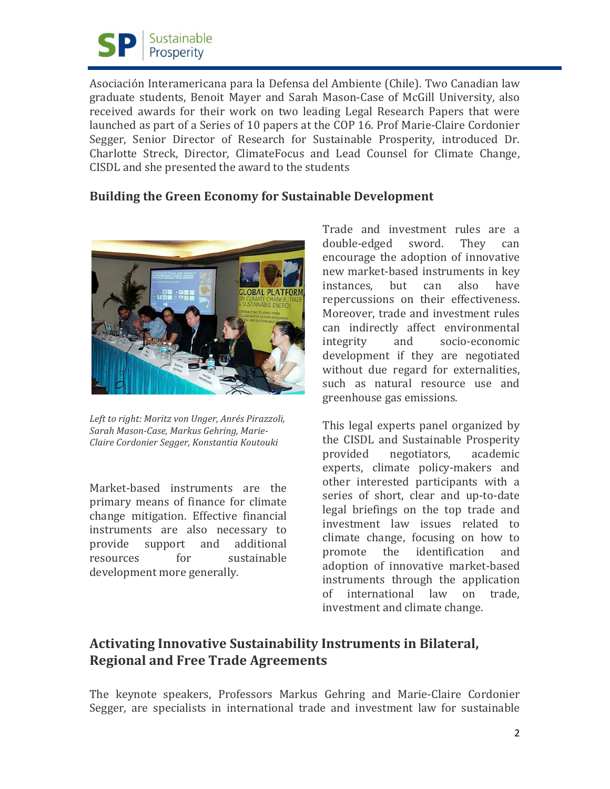

Asociación Interamericana para la Defensa del Ambiente (Chile). Two Canadian law graduate students, Benoit Mayer and Sarah Mason-Case of McGill University, also received awards for their work on two leading Legal Research Papers that were launched as part of a Series of 10 papers at the COP 16. Prof Marie-Claire Cordonier Segger, Senior Director of Research for Sustainable Prosperity, introduced Dr. Charlotte Streck, Director, ClimateFocus and Lead Counsel for Climate Change, CISDL and she presented the award to the students

#### **Building the Green Economy for Sustainable Development**



*Left to right: Moritz von Unger, Anrés Pirazzoli, Sarah Mason-Case, Markus Gehring, Marie-Claire Cordonier Segger, Konstantia Koutouki*

Market-based instruments are the primary means of finance for climate change mitigation. Effective financial instruments are also necessary to<br>provide support and additional provide support and<br>resources for sustainable development more generally.

Trade and investment rules are a<br>double-edged sword. They can double-edged encourage the adoption of innovative new market-based instruments in key<br>instances, but can also have instances, repercussions on their effectiveness. Moreover, trade and investment rules can indirectly affect environmental<br>integrity and socio-economic socio-economic development if they are negotiated without due regard for externalities, such as natural resource use and greenhouse gas emissions.

This legal experts panel organized by the CISDL and Sustainable Prosperity<br>provided negotiators, academic negotiators, experts, climate policy-makers and other interested participants with a series of short, clear and up-to-date legal briefings on the top trade and investment law issues related to climate change, focusing on how to<br>promote the identification and the identification adoption of innovative market-based instruments through the application<br>of international law on trade. international law investment and climate change.

# **Activating Innovative Sustainability Instruments in Bilateral, Regional and Free Trade Agreements**

The keynote speakers, Professors Markus Gehring and Marie-Claire Cordonier Segger, are specialists in international trade and investment law for sustainable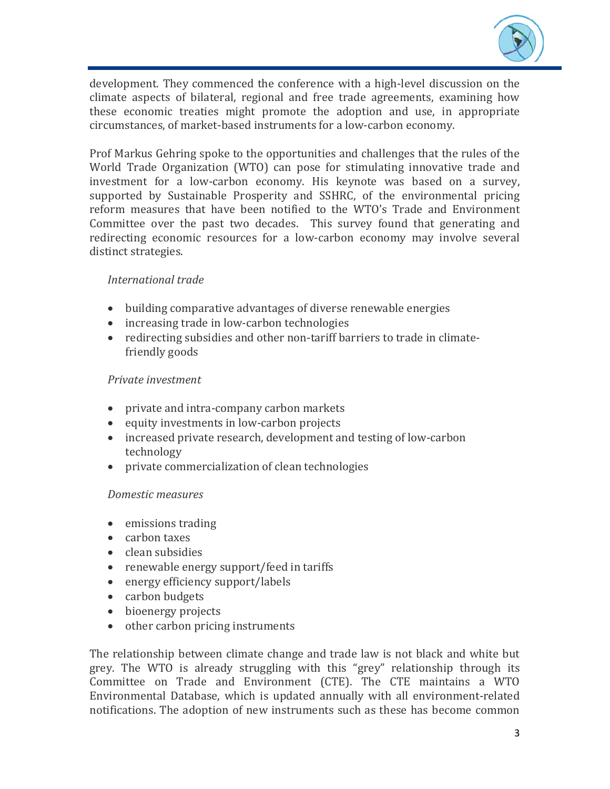

development. They commenced the conference with a high-level discussion on the climate aspects of bilateral, regional and free trade agreements, examining how these economic treaties might promote the adoption and use, in appropriate circumstances, of market-based instruments for a low-carbon economy.

Prof Markus Gehring spoke to the opportunities and challenges that the rules of the World Trade Organization (WTO) can pose for stimulating innovative trade and investment for a low-carbon economy. His keynote was based on a survey, supported by Sustainable Prosperity and SSHRC, of the environmental pricing reform measures that have been notified to the WTO's Trade and Environment Committee over the past two decades. This survey found that generating and redirecting economic resources for a low-carbon economy may involve several distinct strategies.

#### *International trade*

- building comparative advantages of diverse renewable energies
- increasing trade in low-carbon technologies
- redirecting subsidies and other non-tariff barriers to trade in climatefriendly goods

#### *Private investment*

- private and intra-company carbon markets
- equity investments in low-carbon projects
- increased private research, development and testing of low-carbon technology
- private commercialization of clean technologies

#### *Domestic measures*

- emissions trading
- carbon taxes
- clean subsidies
- renewable energy support/feed in tariffs
- energy efficiency support/labels
- carbon budgets
- bioenergy projects
- other carbon pricing instruments

The relationship between climate change and trade law is not black and white but grey. The WTO is already struggling with this "grey" relationship through its Committee on Trade and Environment (CTE). The CTE maintains a WTO Environmental Database, which is updated annually with all environment-related notifications. The adoption of new instruments such as these has become common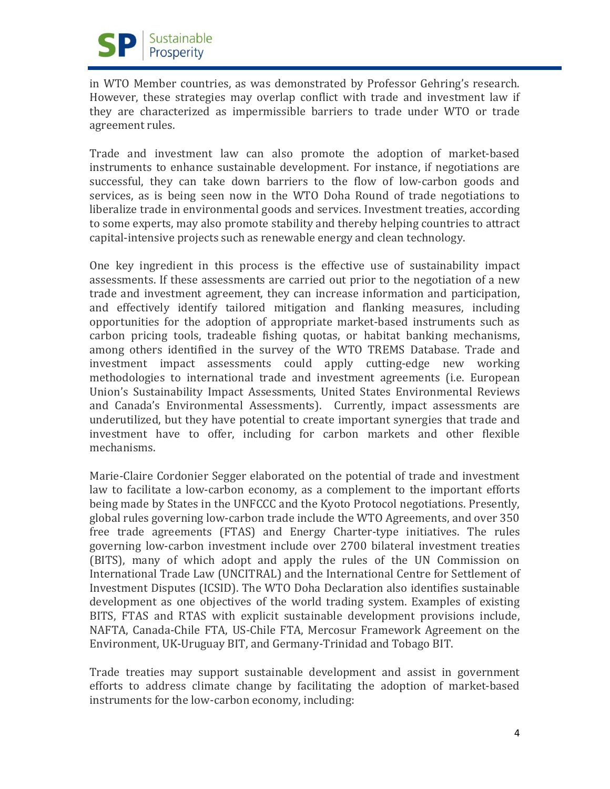

in WTO Member countries, as was demonstrated by Professor Gehring's research. However, these strategies may overlap conflict with trade and investment law if they are characterized as impermissible barriers to trade under WTO or trade agreement rules.

Trade and investment law can also promote the adoption of market-based instruments to enhance sustainable development. For instance, if negotiations are successful, they can take down barriers to the flow of low-carbon goods and services, as is being seen now in the WTO Doha Round of trade negotiations to liberalize trade in environmental goods and services. Investment treaties, according to some experts, may also promote stability and thereby helping countries to attract capital-intensive projects such as renewable energy and clean technology.

One key ingredient in this process is the effective use of sustainability impact assessments. If these assessments are carried out prior to the negotiation of a new trade and investment agreement, they can increase information and participation, and effectively identify tailored mitigation and flanking measures, including opportunities for the adoption of appropriate market-based instruments such as carbon pricing tools, tradeable fishing quotas, or habitat banking mechanisms, among others identified in the survey of the WTO TREMS Database. Trade and investment impact assessments could apply cutting-edge new working methodologies to international trade and investment agreements (i.e. European Union's Sustainability Impact Assessments, United States Environmental Reviews and Canada's Environmental Assessments). Currently, impact assessments are underutilized, but they have potential to create important synergies that trade and investment have to offer, including for carbon markets and other flexible mechanisms.

Marie-Claire Cordonier Segger elaborated on the potential of trade and investment law to facilitate a low-carbon economy, as a complement to the important efforts being made by States in the UNFCCC and the Kyoto Protocol negotiations. Presently, global rules governing low-carbon trade include the WTO Agreements, and over 350 free trade agreements (FTAS) and Energy Charter-type initiatives. The rules governing low-carbon investment include over 2700 bilateral investment treaties (BITS), many of which adopt and apply the rules of the UN Commission on International Trade Law (UNCITRAL) and the International Centre for Settlement of Investment Disputes (ICSID). The WTO Doha Declaration also identifies sustainable development as one objectives of the world trading system. Examples of existing BITS, FTAS and RTAS with explicit sustainable development provisions include, NAFTA, Canada-Chile FTA, US-Chile FTA, Mercosur Framework Agreement on the Environment, UK-Uruguay BIT, and Germany-Trinidad and Tobago BIT.

Trade treaties may support sustainable development and assist in government efforts to address climate change by facilitating the adoption of market-based instruments for the low-carbon economy, including: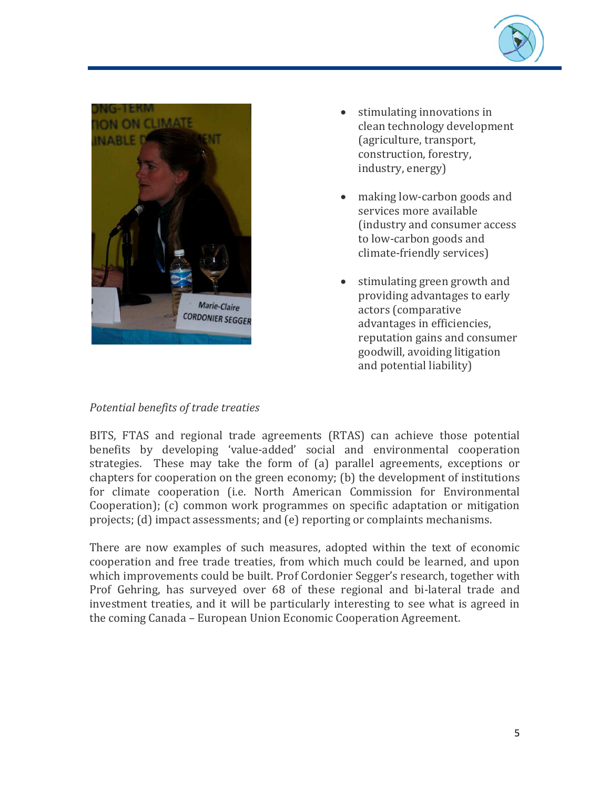



- stimulating innovations in clean technology development (agriculture, transport, construction, forestry, industry, energy)
- making low-carbon goods and services more available (industry and consumer access to low-carbon goods and climate-friendly services)
- stimulating green growth and providing advantages to early actors (comparative advantages in efficiencies, reputation gains and consumer goodwill, avoiding litigation and potential liability)

### *Potential benefits of trade treaties*

BITS, FTAS and regional trade agreements (RTAS) can achieve those potential benefits by developing 'value-added' social and environmental cooperation strategies. These may take the form of (a) parallel agreements, exceptions or chapters for cooperation on the green economy; (b) the development of institutions for climate cooperation (i.e. North American Commission for Environmental Cooperation); (c) common work programmes on specific adaptation or mitigation projects; (d) impact assessments; and (e) reporting or complaints mechanisms.

There are now examples of such measures, adopted within the text of economic cooperation and free trade treaties, from which much could be learned, and upon which improvements could be built. Prof Cordonier Segger's research, together with Prof Gehring, has surveyed over 68 of these regional and bi-lateral trade and investment treaties, and it will be particularly interesting to see what is agreed in the coming Canada – European Union Economic Cooperation Agreement.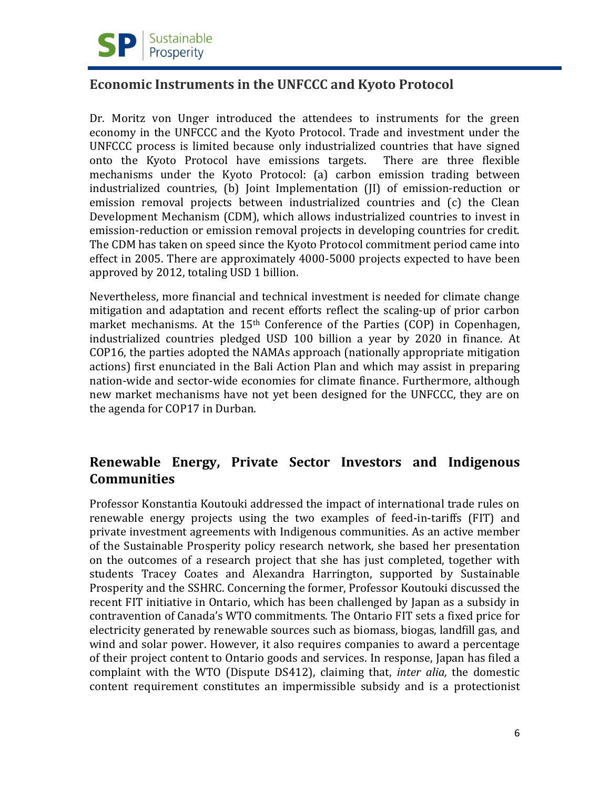

### **Economic Instruments in the UNFCCC and Kyoto Protocol**

Dr. Moritz von Unger introduced the attendees to instruments for the green economy in the UNFCCC and the Kyoto Protocol. Trade and investment under the UNFCCC process is limited because only industrialized countries that have signed onto the Kyoto Protocol have emissions targets. There are three flexible mechanisms under the Kyoto Protocol: (a) carbon emission trading between industrialized countries, (b) Joint Implementation (JI) of emission-reduction or emission removal projects between industrialized countries and (c) the Clean Development Mechanism (CDM), which allows industrialized countries to invest in emission-reduction or emission removal projects in developing countries for credit. The CDM has taken on speed since the Kyoto Protocol commitment period came into effect in 2005. There are approximately 4000-5000 projects expected to have been approved by 2012, totaling USD 1 billion.

Nevertheless, more financial and technical investment is needed for climate change mitigation and adaptation and recent efforts reflect the scaling-up of prior carbon market mechanisms. At the 15<sup>th</sup> Conference of the Parties (COP) in Copenhagen, industrialized countries pledged USD 100 billion a year by 2020 in finance. At COP16, the parties adopted the NAMAs approach (nationally appropriate mitigation actions) first enunciated in the Bali Action Plan and which may assist in preparing nation-wide and sector-wide economies for climate finance. Furthermore, although new market mechanisms have not yet been designed for the UNFCCC, they are on the agenda for COP17 in Durban.

# **Renewable Energy, Private Sector Investors and Indigenous Communities**

Professor Konstantia Koutouki addressed the impact of international trade rules on renewable energy projects using the two examples of feed-in-tariffs (FIT) and private investment agreements with Indigenous communities. As an active member of the Sustainable Prosperity policy research network, she based her presentation on the outcomes of a research project that she has just completed, together with students Tracey Coates and Alexandra Harrington, supported by Sustainable Prosperity and the SSHRC. Concerning the former, Professor Koutouki discussed the recent FIT initiative in Ontario, which has been challenged by Japan as a subsidy in contravention of Canada's WTO commitments. The Ontario FIT sets a fixed price for electricity generated by renewable sources such as biomass, biogas, landfill gas, and wind and solar power. However, it also requires companies to award a percentage of their project content to Ontario goods and services. In response, Japan has filed a complaint with the WTO (Dispute DS412), claiming that, *inter alia,* the domestic content requirement constitutes an impermissible subsidy and is a protectionist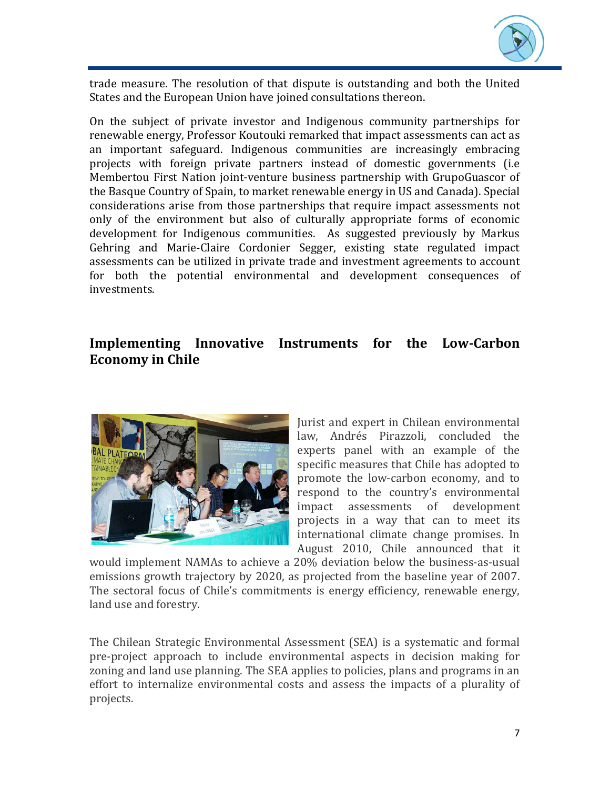

trade measure. The resolution of that dispute is outstanding and both the United States and the European Union have joined consultations thereon.

On the subject of private investor and Indigenous community partnerships for renewable energy, Professor Koutouki remarked that impact assessments can act as an important safeguard. Indigenous communities are increasingly embracing projects with foreign private partners instead of domestic governments (i.e Membertou First Nation joint-venture business partnership with GrupoGuascor of the Basque Country of Spain, to market renewable energy in US and Canada). Special considerations arise from those partnerships that require impact assessments not only of the environment but also of culturally appropriate forms of economic development for Indigenous communities. As suggested previously by Markus Gehring and Marie-Claire Cordonier Segger, existing state regulated impact assessments can be utilized in private trade and investment agreements to account for both the potential environmental and development consequences of investments.

# **Implementing Innovative Instruments for the Low-Carbon Economy in Chile**



Jurist and expert in Chilean environmental law, Andrés Pirazzoli, concluded the experts panel with an example of the specific measures that Chile has adopted to promote the low-carbon economy, and to respond to the country's environmental<br>impact assessments of development assessments of development projects in a way that can to meet its international climate change promises. In August 2010, Chile announced that it

would implement NAMAs to achieve a 20% deviation below the business-as-usual emissions growth trajectory by 2020, as projected from the baseline year of 2007. The sectoral focus of Chile's commitments is energy efficiency, renewable energy, land use and forestry.

The Chilean Strategic Environmental Assessment (SEA) is a systematic and formal pre-project approach to include environmental aspects in decision making for zoning and land use planning. The SEA applies to policies, plans and programs in an effort to internalize environmental costs and assess the impacts of a plurality of projects.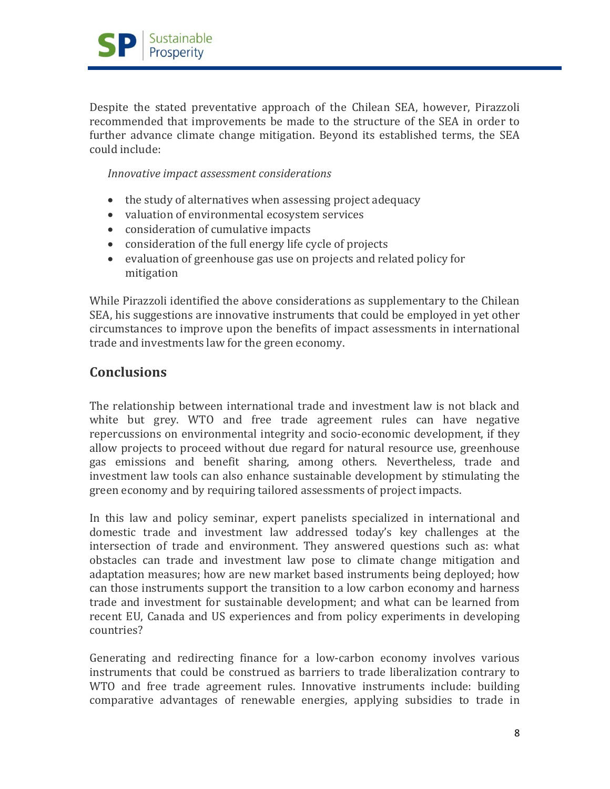

Despite the stated preventative approach of the Chilean SEA, however, Pirazzoli recommended that improvements be made to the structure of the SEA in order to further advance climate change mitigation. Beyond its established terms, the SEA could include:

*Innovative impact assessment considerations*

- the study of alternatives when assessing project adequacy
- valuation of environmental ecosystem services
- consideration of cumulative impacts
- consideration of the full energy life cycle of projects
- evaluation of greenhouse gas use on projects and related policy for mitigation

While Pirazzoli identified the above considerations as supplementary to the Chilean SEA, his suggestions are innovative instruments that could be employed in yet other circumstances to improve upon the benefits of impact assessments in international trade and investments law for the green economy.

### **Conclusions**

The relationship between international trade and investment law is not black and white but grey. WTO and free trade agreement rules can have negative repercussions on environmental integrity and socio-economic development, if they allow projects to proceed without due regard for natural resource use, greenhouse gas emissions and benefit sharing, among others. Nevertheless, trade and investment law tools can also enhance sustainable development by stimulating the green economy and by requiring tailored assessments of project impacts.

In this law and policy seminar, expert panelists specialized in international and domestic trade and investment law addressed today's key challenges at the intersection of trade and environment. They answered questions such as: what obstacles can trade and investment law pose to climate change mitigation and adaptation measures; how are new market based instruments being deployed; how can those instruments support the transition to a low carbon economy and harness trade and investment for sustainable development; and what can be learned from recent EU, Canada and US experiences and from policy experiments in developing countries?

Generating and redirecting finance for a low-carbon economy involves various instruments that could be construed as barriers to trade liberalization contrary to WTO and free trade agreement rules. Innovative instruments include: building comparative advantages of renewable energies, applying subsidies to trade in